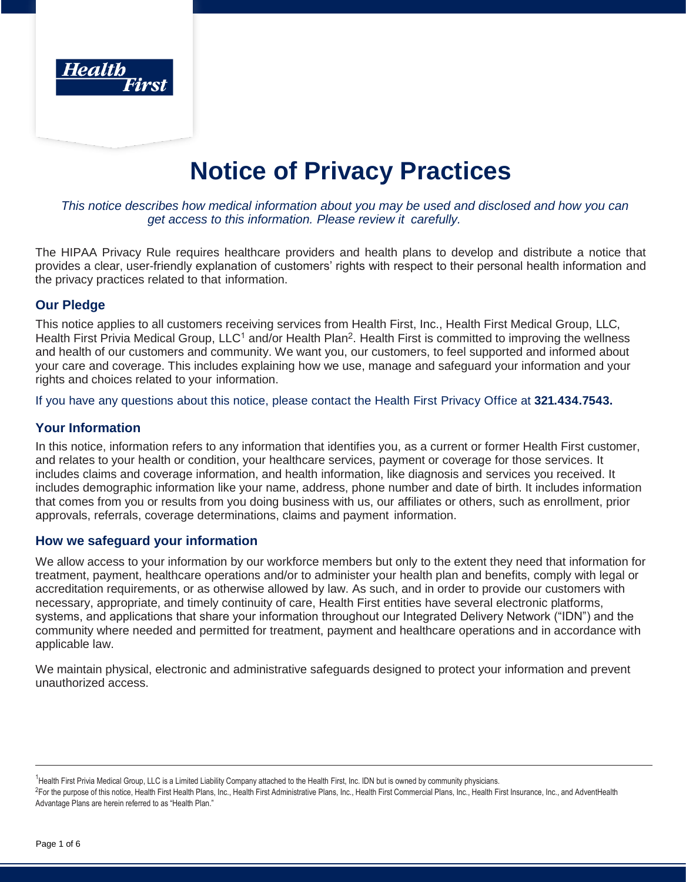

# **Notice of Privacy Practices**

#### *This notice describes how medical information about you may be used and disclosed and how you can get access to this information. Please review it carefully.*

The HIPAA Privacy Rule requires healthcare providers and health plans to develop and distribute a notice that provides a clear, user-friendly explanation of customers' rights with respect to their personal health information and the privacy practices related to that information.

## **Our Pledge**

This notice applies to all customers receiving services from Health First, Inc., Health First Medical Group, LLC, Health First Privia Medical Group, LLC<sup>1</sup> and/or Health Plan<sup>2</sup>. Health First is committed to improving the wellness and health of our customers and community. We want you, our customers, to feel supported and informed about your care and coverage. This includes explaining how we use, manage and safeguard your information and your rights and choices related to your information.

If you have any questions about this notice, please contact the Health First Privacy Office at **321.434.7543.**

# **Your Information**

In this notice, information refers to any information that identifies you, as a current or former Health First customer, and relates to your health or condition, your healthcare services, payment or coverage for those services. It includes claims and coverage information, and health information, like diagnosis and services you received. It includes demographic information like your name, address, phone number and date of birth. It includes information that comes from you or results from you doing business with us, our affiliates or others, such as enrollment, prior approvals, referrals, coverage determinations, claims and payment information.

# **How we safeguard your information**

We allow access to your information by our workforce members but only to the extent they need that information for treatment, payment, healthcare operations and/or to administer your health plan and benefits, comply with legal or accreditation requirements, or as otherwise allowed by law. As such, and in order to provide our customers with necessary, appropriate, and timely continuity of care, Health First entities have several electronic platforms, systems, and applications that share your information throughout our Integrated Delivery Network ("IDN") and the community where needed and permitted for treatment, payment and healthcare operations and in accordance with applicable law.

We maintain physical, electronic and administrative safeguards designed to protect your information and prevent unauthorized access.

<sup>1</sup>Health First Privia Medical Group, LLC is a Limited Liability Company attached to the Health First, Inc. IDN but is owned by community physicians.

<sup>2</sup>For the purpose of this notice, Health First Health Plans, Inc., Health First Administrative Plans, Inc., Health First Commercial Plans, Inc., Health First Insurance, Inc., and AdventHealth Advantage Plans are herein referred to as "Health Plan."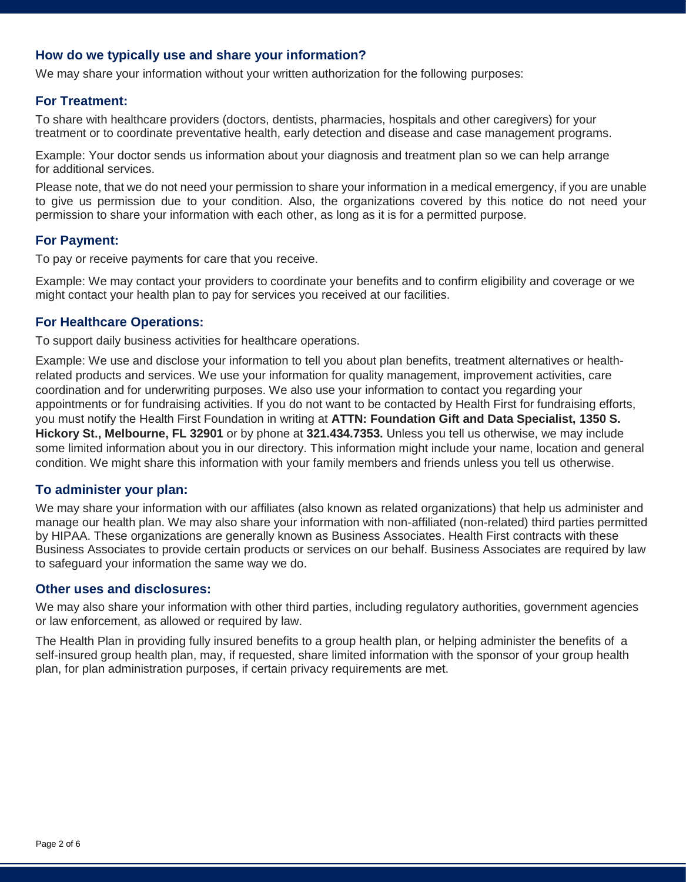# **How do we typically use and share your information?**

We may share your information without your written authorization for the following purposes:

### **For Treatment:**

To share with healthcare providers (doctors, dentists, pharmacies, hospitals and other caregivers) for your treatment or to coordinate preventative health, early detection and disease and case management programs.

Example: Your doctor sends us information about your diagnosis and treatment plan so we can help arrange for additional services.

Please note, that we do not need your permission to share your information in a medical emergency, if you are unable to give us permission due to your condition. Also, the organizations covered by this notice do not need your permission to share your information with each other, as long as it is for a permitted purpose.

#### **For Payment:**

To pay or receive payments for care that you receive.

Example: We may contact your providers to coordinate your benefits and to confirm eligibility and coverage or we might contact your health plan to pay for services you received at our facilities.

#### **For Healthcare Operations:**

To support daily business activities for healthcare operations.

Example: We use and disclose your information to tell you about plan benefits, treatment alternatives or healthrelated products and services. We use your information for quality management, improvement activities, care coordination and for underwriting purposes. We also use your information to contact you regarding your appointments or for fundraising activities. If you do not want to be contacted by Health First for fundraising efforts, you must notify the Health First Foundation in writing at **ATTN: Foundation Gift and Data Specialist, 1350 S. Hickory St., Melbourne, FL 32901** or by phone at **321.434.7353.** Unless you tell us otherwise, we may include some limited information about you in our directory. This information might include your name, location and general condition. We might share this information with your family members and friends unless you tell us otherwise.

## **To administer your plan:**

We may share your information with our affiliates (also known as related organizations) that help us administer and manage our health plan. We may also share your information with non-affiliated (non-related) third parties permitted by HIPAA. These organizations are generally known as Business Associates. Health First contracts with these Business Associates to provide certain products or services on our behalf. Business Associates are required by law to safeguard your information the same way we do.

#### **Other uses and disclosures:**

We may also share your information with other third parties, including regulatory authorities, government agencies or law enforcement, as allowed or required by law.

The Health Plan in providing fully insured benefits to a group health plan, or helping administer the benefits of a self-insured group health plan, may, if requested, share limited information with the sponsor of your group health plan, for plan administration purposes, if certain privacy requirements are met.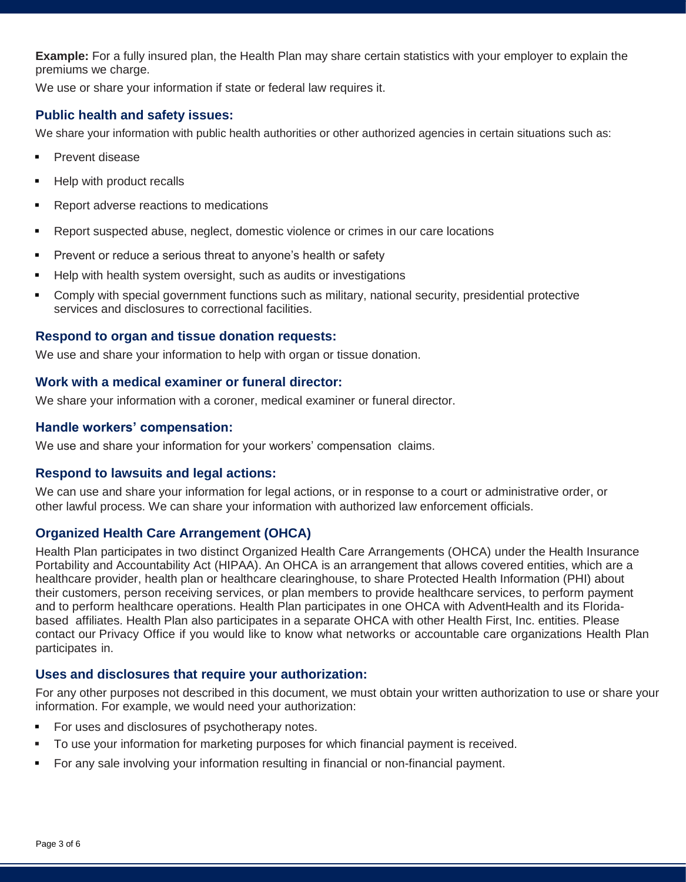**Example:** For a fully insured plan, the Health Plan may share certain statistics with your employer to explain the premiums we charge.

We use or share your information if state or federal law requires it.

# **Public health and safety issues:**

We share your information with public health authorities or other authorized agencies in certain situations such as:

- Prevent disease
- Help with product recalls
- Report adverse reactions to medications
- Report suspected abuse, neglect, domestic violence or crimes in our care locations
- **Prevent or reduce a serious threat to anyone's health or safety**
- Help with health system oversight, such as audits or investigations
- Comply with special government functions such as military, national security, presidential protective services and disclosures to correctional facilities.

## **Respond to organ and tissue donation requests:**

We use and share your information to help with organ or tissue donation.

## **Work with a medical examiner or funeral director:**

We share your information with a coroner, medical examiner or funeral director.

## **Handle workers' compensation:**

We use and share your information for your workers' compensation claims.

## **Respond to lawsuits and legal actions:**

We can use and share your information for legal actions, or in response to a court or administrative order, or other lawful process. We can share your information with authorized law enforcement officials.

# **Organized Health Care Arrangement (OHCA)**

Health Plan participates in two distinct Organized Health Care Arrangements (OHCA) under the Health Insurance Portability and Accountability Act (HIPAA). An OHCA is an arrangement that allows covered entities, which are a healthcare provider, health plan or healthcare clearinghouse, to share Protected Health Information (PHI) about their customers, person receiving services, or plan members to provide healthcare services, to perform payment and to perform healthcare operations. Health Plan participates in one OHCA with AdventHealth and its Floridabased affiliates. Health Plan also participates in a separate OHCA with other Health First, Inc. entities. Please contact our Privacy Office if you would like to know what networks or accountable care organizations Health Plan participates in.

# **Uses and disclosures that require your authorization:**

For any other purposes not described in this document, we must obtain your written authorization to use or share your information. For example, we would need your authorization:

- For uses and disclosures of psychotherapy notes.
- To use your information for marketing purposes for which financial payment is received.
- For any sale involving your information resulting in financial or non-financial payment.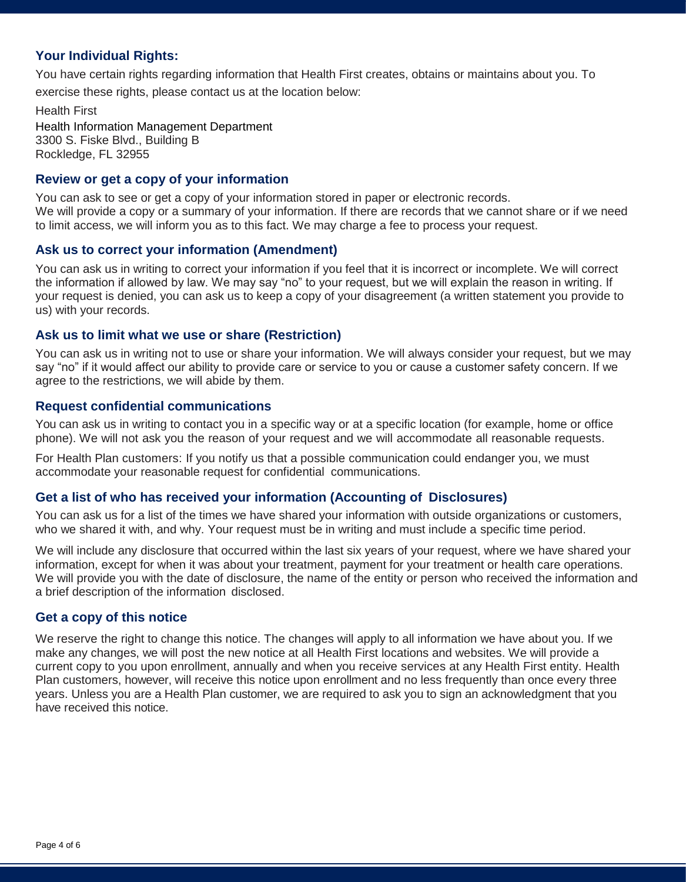# **Your Individual Rights:**

You have certain rights regarding information that Health First creates, obtains or maintains about you. To exercise these rights, please contact us at the location below:

Health First Health Information Management Department 3300 S. Fiske Blvd., Building B Rockledge, FL 32955

#### **Review or get a copy of your information**

You can ask to see or get a copy of your information stored in paper or electronic records. We will provide a copy or a summary of your information. If there are records that we cannot share or if we need to limit access, we will inform you as to this fact. We may charge a fee to process your request.

#### **Ask us to correct your information (Amendment)**

You can ask us in writing to correct your information if you feel that it is incorrect or incomplete. We will correct the information if allowed by law. We may say "no" to your request, but we will explain the reason in writing. If your request is denied, you can ask us to keep a copy of your disagreement (a written statement you provide to us) with your records.

#### **Ask us to limit what we use or share (Restriction)**

You can ask us in writing not to use or share your information. We will always consider your request, but we may say "no" if it would affect our ability to provide care or service to you or cause a customer safety concern. If we agree to the restrictions, we will abide by them.

#### **Request confidential communications**

You can ask us in writing to contact you in a specific way or at a specific location (for example, home or office phone). We will not ask you the reason of your request and we will accommodate all reasonable requests.

For Health Plan customers: If you notify us that a possible communication could endanger you, we must accommodate your reasonable request for confidential communications.

## **Get a list of who has received your information (Accounting of Disclosures)**

You can ask us for a list of the times we have shared your information with outside organizations or customers, who we shared it with, and why. Your request must be in writing and must include a specific time period.

We will include any disclosure that occurred within the last six years of your request, where we have shared your information, except for when it was about your treatment, payment for your treatment or health care operations. We will provide you with the date of disclosure, the name of the entity or person who received the information and a brief description of the information disclosed.

#### **Get a copy of this notice**

We reserve the right to change this notice. The changes will apply to all information we have about you. If we make any changes, we will post the new notice at all Health First locations and websites. We will provide a current copy to you upon enrollment, annually and when you receive services at any Health First entity. Health Plan customers, however, will receive this notice upon enrollment and no less frequently than once every three years. Unless you are a Health Plan customer, we are required to ask you to sign an acknowledgment that you have received this notice.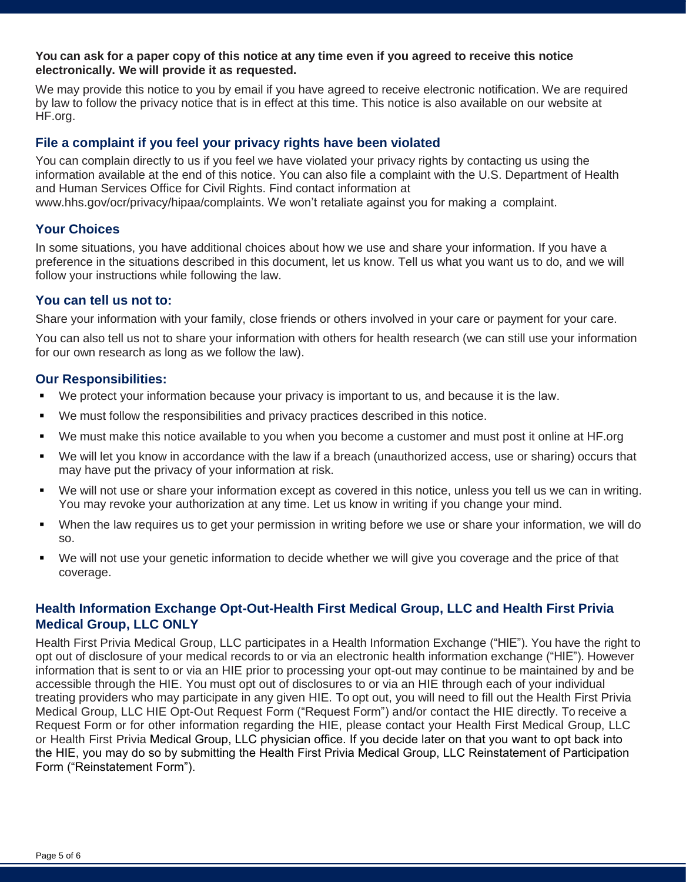#### **You can ask for a paper copy of this notice at any time even if you agreed to receive this notice electronically. We will provide it as requested.**

We may provide this notice to you by email if you have agreed to receive electronic notification. We are required by law to follow the privacy notice that is in effect at this time. This notice is also available on our website at HF.org.

## **File a complaint if you feel your privacy rights have been violated**

You can complain directly to us if you feel we have violated your privacy rights by contacting us using the information available at the end of this notice. You can also file a complaint with the U.S. Department of Health and Human Services Office for Civil Rights. Find contact information at [www.hhs.gov/ocr/privacy/hipaa/complaints. W](http://www.hhs.gov/ocr/privacy/hipaa/complaints)e won't retaliate against you for making a complaint.

## **Your Choices**

In some situations, you have additional choices about how we use and share your information. If you have a preference in the situations described in this document, let us know. Tell us what you want us to do, and we will follow your instructions while following the law.

## **You can tell us not to:**

Share your information with your family, close friends or others involved in your care or payment for your care.

You can also tell us not to share your information with others for health research (we can still use your information for our own research as long as we follow the law).

## **Our Responsibilities:**

- We protect your information because your privacy is important to us, and because it is the law.
- We must follow the responsibilities and privacy practices described in this notice.
- We must make this notice available to you when you become a customer and must post it online at HF.org
- We will let you know in accordance with the law if a breach (unauthorized access, use or sharing) occurs that may have put the privacy of your information at risk.
- We will not use or share your information except as covered in this notice, unless you tell us we can in writing. You may revoke your authorization at any time. Let us know in writing if you change your mind.
- When the law requires us to get your permission in writing before we use or share your information, we will do so.
- We will not use your genetic information to decide whether we will give you coverage and the price of that coverage.

# **Health Information Exchange Opt-Out-Health First Medical Group, LLC and Health First Privia Medical Group, LLC ONLY**

Health First Privia Medical Group, LLC participates in a Health Information Exchange ("HIE"). You have the right to opt out of disclosure of your medical records to or via an electronic health information exchange ("HIE"). However information that is sent to or via an HIE prior to processing your opt-out may continue to be maintained by and be accessible through the HIE. You must opt out of disclosures to or via an HIE through each of your individual treating providers who may participate in any given HIE. To opt out, you will need to fill out the Health First Privia Medical Group, LLC HIE Opt-Out Request Form ("Request Form") and/or contact the HIE directly. To receive a Request Form or for other information regarding the HIE, please contact your Health First Medical Group, LLC or Health First Privia Medical Group, LLC physician office. If you decide later on that you want to opt back into the HIE, you may do so by submitting the Health First Privia Medical Group, LLC Reinstatement of Participation Form ("Reinstatement Form").